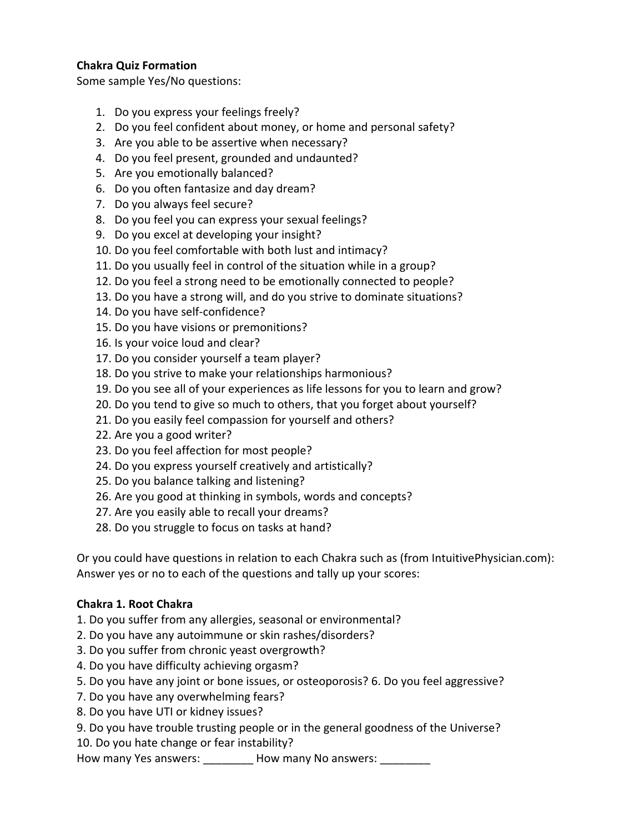#### **Chakra Quiz Formation**

Some sample Yes/No questions:

- 1. Do you express your feelings freely?
- 2. Do you feel confident about money, or home and personal safety?
- 3. Are you able to be assertive when necessary?
- 4. Do you feel present, grounded and undaunted?
- 5. Are you emotionally balanced?
- 6. Do you often fantasize and day dream?
- 7. Do you always feel secure?
- 8. Do you feel you can express your sexual feelings?
- 9. Do you excel at developing your insight?
- 10. Do you feel comfortable with both lust and intimacy?
- 11. Do you usually feel in control of the situation while in a group?
- 12. Do you feel a strong need to be emotionally connected to people?
- 13. Do you have a strong will, and do you strive to dominate situations?
- 14. Do you have self-confidence?
- 15. Do you have visions or premonitions?
- 16. Is your voice loud and clear?
- 17. Do you consider yourself a team player?
- 18. Do you strive to make your relationships harmonious?
- 19. Do you see all of your experiences as life lessons for you to learn and grow?
- 20. Do you tend to give so much to others, that you forget about yourself?
- 21. Do you easily feel compassion for yourself and others?
- 22. Are you a good writer?
- 23. Do you feel affection for most people?
- 24. Do you express yourself creatively and artistically?
- 25. Do you balance talking and listening?
- 26. Are you good at thinking in symbols, words and concepts?
- 27. Are you easily able to recall your dreams?
- 28. Do you struggle to focus on tasks at hand?

Or you could have questions in relation to each Chakra such as (from IntuitivePhysician.com): Answer yes or no to each of the questions and tally up your scores:

#### **Chakra 1. Root Chakra**

- 1. Do you suffer from any allergies, seasonal or environmental?
- 2. Do you have any autoimmune or skin rashes/disorders?
- 3. Do you suffer from chronic yeast overgrowth?
- 4. Do you have difficulty achieving orgasm?
- 5. Do you have any joint or bone issues, or osteoporosis? 6. Do you feel aggressive?
- 7. Do you have any overwhelming fears?
- 8. Do you have UTI or kidney issues?
- 9. Do you have trouble trusting people or in the general goodness of the Universe?

10. Do you hate change or fear instability?

How many Yes answers: \_\_\_\_\_\_\_\_\_ How many No answers: \_\_\_\_\_\_\_\_\_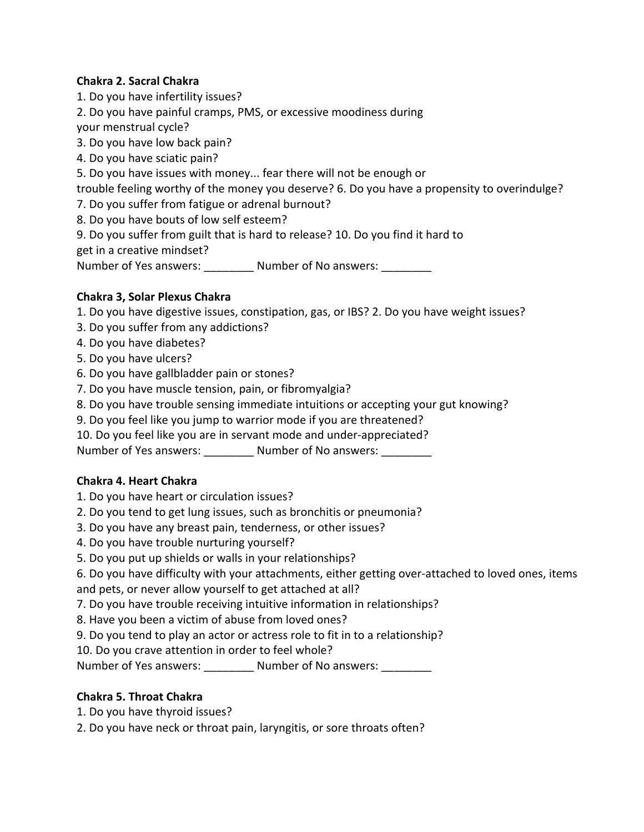### **Chakra 2. Sacral Chakra**

1. Do you have infertility issues?

2. Do you have painful cramps, PMS, or excessive moodiness during

your menstrual cycle?

3. Do you have low back pain?

4. Do you have sciatic pain?

5. Do you have issues with money... fear there will not be enough or

trouble feeling worthy of the money you deserve? 6. Do you have a propensity to overindulge?

7. Do you suffer from fatigue or adrenal burnout?

- 8. Do you have bouts of low self esteem?
- 9. Do you suffer from guilt that is hard to release? 10. Do you find it hard to

get in a creative mindset?

Number of Yes answers: \_\_\_\_\_\_\_\_\_\_ Number of No answers: \_\_\_\_\_

## **Chakra 3, Solar Plexus Chakra**

1. Do you have digestive issues, constipation, gas, or IBS? 2. Do you have weight issues?

- 3. Do you suffer from any addictions?
- 4. Do you have diabetes?
- 5. Do you have ulcers?
- 6. Do you have gallbladder pain or stones?
- 7. Do you have muscle tension, pain, or fibromyalgia?
- 8. Do you have trouble sensing immediate intuitions or accepting your gut knowing?
- 9. Do you feel like you jump to warrior mode if you are threatened?
- 10. Do you feel like you are in servant mode and under-appreciated?

Number of Yes answers: \_\_\_\_\_\_\_\_\_\_ Number of No answers:

#### **Chakra 4. Heart Chakra**

- 1. Do you have heart or circulation issues?
- 2. Do you tend to get lung issues, such as bronchitis or pneumonia?
- 3. Do you have any breast pain, tenderness, or other issues?
- 4. Do you have trouble nurturing yourself?
- 5. Do you put up shields or walls in your relationships?

6. Do you have difficulty with your attachments, either getting over-attached to loved ones, items and pets, or never allow yourself to get attached at all?

- 7. Do you have trouble receiving intuitive information in relationships?
- 8. Have you been a victim of abuse from loved ones?
- 9. Do you tend to play an actor or actress role to fit in to a relationship?

10. Do you crave attention in order to feel whole?

Number of Yes answers: \_\_\_\_\_\_\_\_\_\_ Number of No answers: \_\_\_\_\_\_\_\_\_

# **Chakra 5. Throat Chakra**

- 1. Do you have thyroid issues?
- 2. Do you have neck or throat pain, laryngitis, or sore throats often?